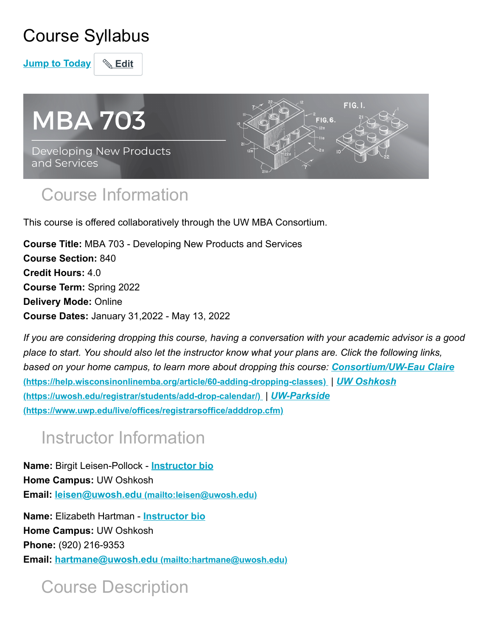## Course Syllabus

**Jump to Today & Edit** 



## Course Information

This course is offered collaboratively through the UW MBA Consortium.

**Course Title:** MBA 703 - Developing New Products and Services **Course Section:** 840 **Credit Hours:** 4.0 **Course Term:** Spring 2022 **Delivery Mode:** Online **Course Dates:** January 31,2022 - May 13, 2022

*If you are considering dropping this course, having a conversation with your academic advisor is a good place to start. You should also let the instructor know what your plans are. Click the following links, [based on your home campus, to learn more about dropping this course:](https://help.wisconsinonlinemba.org/article/60-adding-dropping-classes) Consortium/UW-Eau Claire* **[\(https://help.wisconsinonlinemba.org/article/60-adding-dropping-classes\)](https://uwosh.edu/registrar/students/add-drop-calendar/)** *| UW Oshkosh* **(https://uwosh.edu/registrar/students/add-drop-calendar/)** *| UW-Parkside* **[\(https://www.uwp.edu/live/offices/registrarsoffice/adddrop.cfm\)](https://www.uwp.edu/live/offices/registrarsoffice/adddrop.cfm)**

# Instructor Information

**Name:** Birgit Leisen-Pollock - **[Instructor bio](https://uws.instructure.com/courses/478277/pages/instructor-introduction-birgit-leisen-pollack) Home Campus:** UW Oshkosh **Email: leisen@uwosh.edu [\(mailto:leisen@uwosh.edu\)](mailto:leisen@uwosh.edu)**

**Name:** Elizabeth Hartman - **[Instructor bio](https://uws.instructure.com/courses/478277/pages/instructor-introduction-elizabeth-hartman) Home Campus:** UW Oshkosh **Phone:** (920) 216-9353 **Email: hartmane@uwosh.edu [\(mailto:hartmane@uwosh.edu\)](mailto:hartmane@uwosh.edu)**

## Course Description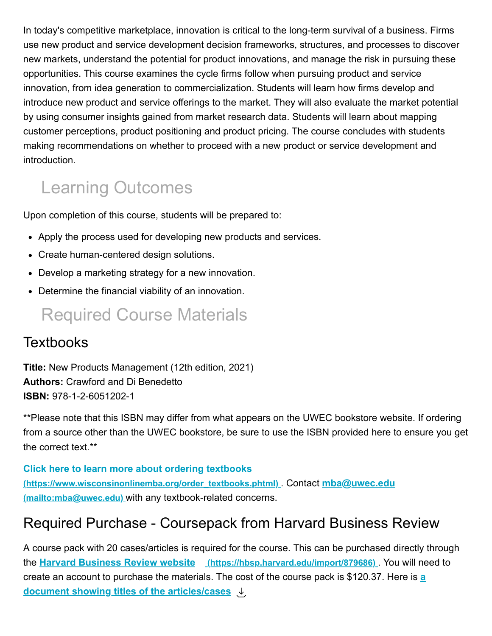In today's competitive marketplace, innovation is critical to the long-term survival of a business. Firms use new product and service development decision frameworks, structures, and processes to discover new markets, understand the potential for product innovations, and manage the risk in pursuing these opportunities. This course examines the cycle firms follow when pursuing product and service innovation, from idea generation to commercialization. Students will learn how firms develop and introduce new product and service offerings to the market. They will also evaluate the market potential by using consumer insights gained from market research data. Students will learn about mapping customer perceptions, product positioning and product pricing. The course concludes with students making recommendations on whether to proceed with a new product or service development and introduction.

# Learning Outcomes

Upon completion of this course, students will be prepared to:

- Apply the process used for developing new products and services.
- Create human-centered design solutions.
- Develop a marketing strategy for a new innovation.
- Determine the financial viability of an innovation.

## Required Course Materials

#### **Textbooks**

**Title:** New Products Management (12th edition, 2021) **Authors:** Crawford and Di Benedetto **ISBN:** 978-1-2-6051202-1

\*\*Please note that this ISBN may differ from what appears on the UWEC bookstore website. If ordering from a source other than the UWEC bookstore, be sure to use the ISBN provided here to ensure you get the correct text.\*\*

**Click here to learn more about ordering textbooks [\(https://www.wisconsinonlinemba.org/order\\_textbooks.phtml\)](https://www.wisconsinonlinemba.org/order_textbooks.phtml)** . Contact **mba@uwec.edu (mailto:mba@uwec.edu)** with any textbook-related concerns.

### Required Purchase - Coursepack from Harvard Business Review

A course pack with 20 cases/articles is required for the course. This can be purchased directly through the **[Harvard Business Review website](https://hbsp.harvard.edu/import/879686) (https://hbsp.harvard.edu/import/879686)** . You will need to [create an account to purchase the materials. The cost of the course pack is \\$120.37. Here is](https://uws.instructure.com/courses/478277/files/42136006?wrap=1) **a [document showing titles of the articles/cases](https://uws.instructure.com/courses/478277/files/42136006/download?download_frd=1)**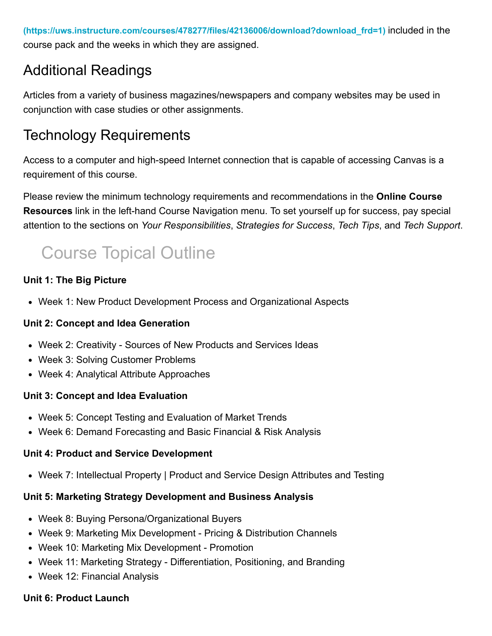**[\(https://uws.instructure.com/courses/478277/files/42136006/download?download\\_frd=1\)](https://uws.instructure.com/courses/478277/files/42136006/download?download_frd=1)** included in the course pack and the weeks in which they are assigned.

### Additional Readings

Articles from a variety of business magazines/newspapers and company websites may be used in conjunction with case studies or other assignments.

### Technology Requirements

Access to a computer and high-speed Internet connection that is capable of accessing Canvas is a requirement of this course.

Please review the minimum technology requirements and recommendations in the **Online Course Resources** link in the left-hand Course Navigation menu. To set yourself up for success, pay special attention to the sections on *Your Responsibilities*, *Strategies for Success*, *Tech Tips*, and *Tech Support*.

# Course Topical Outline

#### **Unit 1: The Big Picture**

Week 1: New Product Development Process and Organizational Aspects

#### **Unit 2: Concept and Idea Generation**

- Week 2: Creativity Sources of New Products and Services Ideas
- Week 3: Solving Customer Problems
- Week 4: Analytical Attribute Approaches

#### **Unit 3: Concept and Idea Evaluation**

- Week 5: Concept Testing and Evaluation of Market Trends
- Week 6: Demand Forecasting and Basic Financial & Risk Analysis

#### **Unit 4: Product and Service Development**

Week 7: Intellectual Property | Product and Service Design Attributes and Testing

#### **Unit 5: Marketing Strategy Development and Business Analysis**

- Week 8: Buying Persona/Organizational Buyers
- Week 9: Marketing Mix Development Pricing & Distribution Channels
- Week 10: Marketing Mix Development Promotion
- Week 11: Marketing Strategy Differentiation, Positioning, and Branding
- Week 12: Financial Analysis

#### **Unit 6: Product Launch**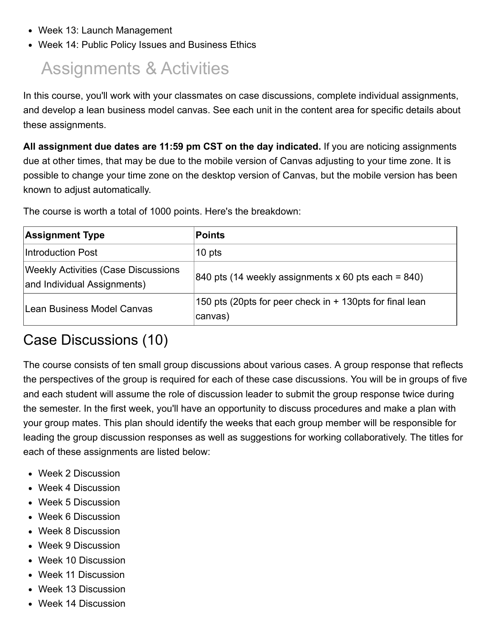- Week 13: Launch Management
- Week 14: Public Policy Issues and Business Ethics

## Assignments & Activities

In this course, you'll work with your classmates on case discussions, complete individual assignments, and develop a lean business model canvas. See each unit in the content area for specific details about these assignments.

**All assignment due dates are 11:59 pm CST on the day indicated.** If you are noticing assignments due at other times, that may be due to the mobile version of Canvas adjusting to your time zone. It is possible to change your time zone on the desktop version of Canvas, but the mobile version has been known to adjust automatically.

The course is worth a total of 1000 points. Here's the breakdown:

| <b>Assignment Type</b>                                                    | <b>Points</b>                                                       |
|---------------------------------------------------------------------------|---------------------------------------------------------------------|
| Introduction Post                                                         | 10 pts                                                              |
| <b>Weekly Activities (Case Discussions</b><br>and Individual Assignments) | 840 pts (14 weekly assignments x 60 pts each = $840$ )              |
| Lean Business Model Canvas                                                | 150 pts (20pts for peer check in + 130pts for final lean<br>canvas) |

### Case Discussions (10)

The course consists of ten small group discussions about various cases. A group response that reflects the perspectives of the group is required for each of these case discussions. You will be in groups of five and each student will assume the role of discussion leader to submit the group response twice during the semester. In the first week, you'll have an opportunity to discuss procedures and make a plan with your group mates. This plan should identify the weeks that each group member will be responsible for leading the group discussion responses as well as suggestions for working collaboratively. The titles for each of these assignments are listed below:

- Week 2 Discussion
- Week 4 Discussion
- Week 5 Discussion
- Week 6 Discussion
- Week 8 Discussion
- Week 9 Discussion
- Week 10 Discussion
- Week 11 Discussion
- Week 13 Discussion
- Week 14 Discussion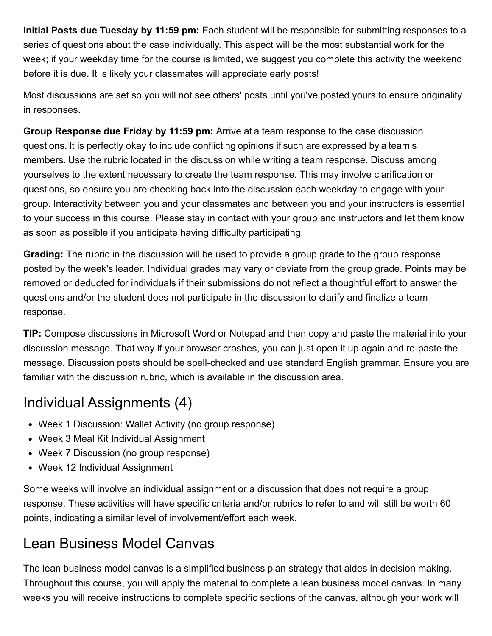**Initial Posts due Tuesday by 11:59 pm:** Each student will be responsible for submitting responses to a series of questions about the case individually. This aspect will be the most substantial work for the week; if your weekday time for the course is limited, we suggest you complete this activity the weekend before it is due. It is likely your classmates will appreciate early posts!

Most discussions are set so you will not see others' posts until you've posted yours to ensure originality in responses.

**Group Response due Friday by 11:59 pm:** Arrive at a team response to the case discussion questions. It is perfectly okay to include conflicting opinions if such are expressed by a team's members. Use the rubric located in the discussion while writing a team response. Discuss among yourselves to the extent necessary to create the team response. This may involve clarification or questions, so ensure you are checking back into the discussion each weekday to engage with your group. Interactivity between you and your classmates and between you and your instructors is essential to your success in this course. Please stay in contact with your group and instructors and let them know as soon as possible if you anticipate having difficulty participating.

**Grading:** The rubric in the discussion will be used to provide a group grade to the group response posted by the week's leader. Individual grades may vary or deviate from the group grade. Points may be removed or deducted for individuals if their submissions do not reflect a thoughtful effort to answer the questions and/or the student does not participate in the discussion to clarify and finalize a team response.

**TIP:** Compose discussions in Microsoft Word or Notepad and then copy and paste the material into your discussion message. That way if your browser crashes, you can just open it up again and re-paste the message. Discussion posts should be spell-checked and use standard English grammar. Ensure you are familiar with the discussion rubric, which is available in the discussion area.

### Individual Assignments (4)

- Week 1 Discussion: Wallet Activity (no group response)
- Week 3 Meal Kit Individual Assignment
- Week 7 Discussion (no group response)
- Week 12 Individual Assignment

Some weeks will involve an individual assignment or a discussion that does not require a group response. These activities will have specific criteria and/or rubrics to refer to and will still be worth 60 points, indicating a similar level of involvement/effort each week.

### Lean Business Model Canvas

The lean business model canvas is a simplified business plan strategy that aides in decision making. Throughout this course, you will apply the material to complete a lean business model canvas. In many weeks you will receive instructions to complete specific sections of the canvas, although your work will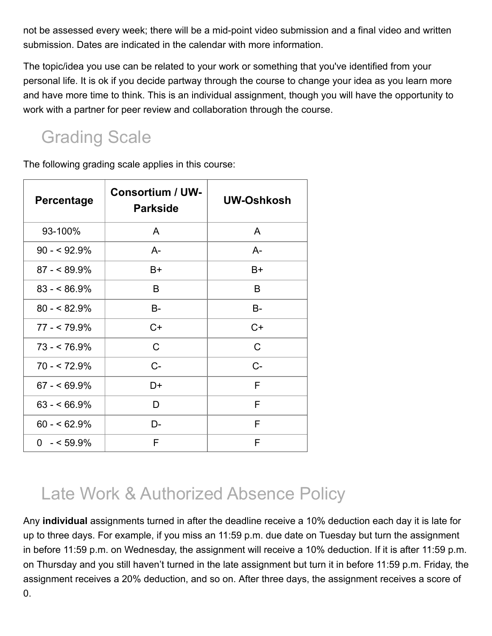not be assessed every week; there will be a mid-point video submission and a final video and written submission. Dates are indicated in the calendar with more information.

The topic/idea you use can be related to your work or something that you've identified from your personal life. It is ok if you decide partway through the course to change your idea as you learn more and have more time to think. This is an individual assignment, though you will have the opportunity to work with a partner for peer review and collaboration through the course.

## Grading Scale

The following grading scale applies in this course:

| <b>Percentage</b> | <b>Consortium / UW-</b><br><b>Parkside</b> | UW-Oshkosh |
|-------------------|--------------------------------------------|------------|
| 93-100%           | A                                          | A          |
| $90 - 92.9\%$     | A-                                         | $A-$       |
| $87 - 89.9\%$     | B+                                         | B+         |
| $83 - 86.9\%$     | B                                          | B          |
| $80 - 82.9%$      | B-                                         | B-         |
| $77 - 79.9\%$     | $C+$                                       | $C+$       |
| $73 - 76.9%$      | C                                          | C          |
| $70 - 72.9%$      | C-                                         | $C-$       |
| $67 - 69.9\%$     | D+                                         | F          |
| $63 - 66.9\%$     | D                                          | F          |
| $60 - 62.9%$      | D-                                         | F          |
| $0 - 59.9%$       | F                                          | F          |

## Late Work & Authorized Absence Policy

Any **individual** assignments turned in after the deadline receive a 10% deduction each day it is late for up to three days. For example, if you miss an 11:59 p.m. due date on Tuesday but turn the assignment in before 11:59 p.m. on Wednesday, the assignment will receive a 10% deduction. If it is after 11:59 p.m. on Thursday and you still haven't turned in the late assignment but turn it in before 11:59 p.m. Friday, the assignment receives a 20% deduction, and so on. After three days, the assignment receives a score of 0.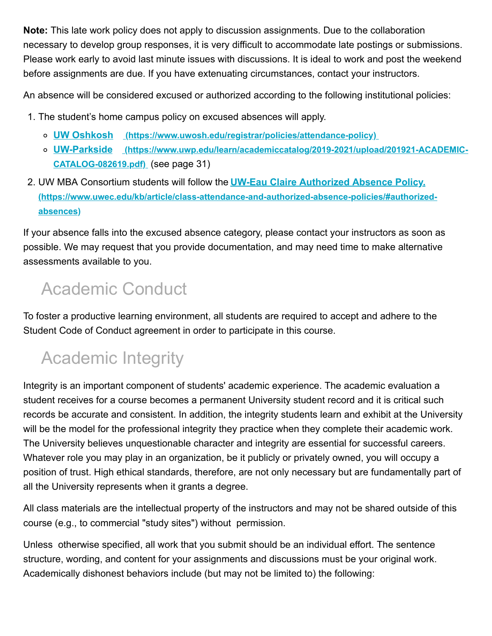**Note:** This late work policy does not apply to discussion assignments. Due to the collaboration necessary to develop group responses, it is very difficult to accommodate late postings or submissions. Please work early to avoid last minute issues with discussions. It is ideal to work and post the weekend before assignments are due. If you have extenuating circumstances, contact your instructors.

An absence will be considered excused or authorized according to the following institutional policies:

- 1. The student's home campus policy on excused absences will apply.
	- **UW Oshkosh [\(https://www.uwosh.edu/registrar/policies/attendance-policy\)](https://www.uwosh.edu/registrar/policies/attendance-policy)**
	- **UW-Parkside [\(https://www.uwp.edu/learn/academiccatalog/2019-2021/upload/201921-ACADEMIC-](https://www.uwp.edu/learn/academiccatalog/2019-2021/upload/201921-ACADEMIC-CATALOG-082619.pdf)CATALOG-082619.pdf)** (see page 31)
- 2. UW MBA Consortium students will follow the **UW-Eau Claire Authorized Absence Policy. [\(https://www.uwec.edu/kb/article/class-attendance-and-authorized-absence-policies/#authorized](https://www.uwec.edu/kb/article/class-attendance-and-authorized-absence-policies/#authorized-absences)absences)**

If your absence falls into the excused absence category, please contact your instructors as soon as possible. We may request that you provide documentation, and may need time to make alternative assessments available to you.

# Academic Conduct

To foster a productive learning environment, all students are required to accept and adhere to the Student Code of Conduct agreement in order to participate in this course.

# Academic Integrity

Integrity is an important component of students' academic experience. The academic evaluation a student receives for a course becomes a permanent University student record and it is critical such records be accurate and consistent. In addition, the integrity students learn and exhibit at the University will be the model for the professional integrity they practice when they complete their academic work. The University believes unquestionable character and integrity are essential for successful careers. Whatever role you may play in an organization, be it publicly or privately owned, you will occupy a position of trust. High ethical standards, therefore, are not only necessary but are fundamentally part of all the University represents when it grants a degree.

All class materials are the intellectual property of the instructors and may not be shared outside of this course (e.g., to commercial "study sites") without permission.

Unless otherwise specified, all work that you submit should be an individual effort. The sentence structure, wording, and content for your assignments and discussions must be your original work. Academically dishonest behaviors include (but may not be limited to) the following: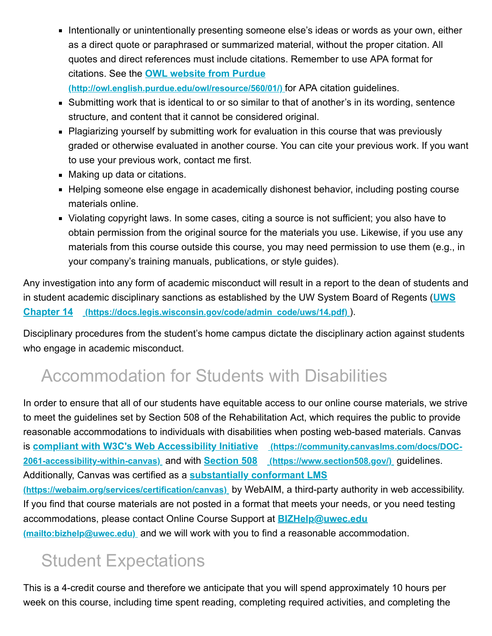■ Intentionally or unintentionally presenting someone else's ideas or words as your own, either as a direct quote or paraphrased or summarized material, without the proper citation. All quotes and direct references must include citations. Remember to use APA format for citations. See the **OWL website from Purdue**

**[\(http://owl.english.purdue.edu/owl/resource/560/01/\)](http://owl.english.purdue.edu/owl/resource/560/01/)** for APA citation guidelines.

- Submitting work that is identical to or so similar to that of another's in its wording, sentence structure, and content that it cannot be considered original.
- Plagiarizing yourself by submitting work for evaluation in this course that was previously graded or otherwise evaluated in another course. You can cite your previous work. If you want to use your previous work, contact me first.
- Making up data or citations.
- Helping someone else engage in academically dishonest behavior, including posting course materials online.
- Violating copyright laws. In some cases, citing a source is not sufficient; you also have to obtain permission from the original source for the materials you use. Likewise, if you use any materials from this course outside this course, you may need permission to use them (e.g., in your company's training manuals, publications, or style guides).

Any investigation into any form of academic misconduct will result in a report to the dean of students and [in student academic disciplinary sanctions as established by the UW System Board of Regents \(](https://docs.legis.wisconsin.gov/code/admin_code/uws/14.pdf)**UWS Chapter 14 (https://docs.legis.wisconsin.gov/code/admin\_code/uws/14.pdf)** ).

Disciplinary procedures from the student's home campus dictate the disciplinary action against students who engage in academic misconduct.

# Accommodation for Students with Disabilities

In order to ensure that all of our students have equitable access to our online course materials, we strive to meet the guidelines set by Section 508 of the Rehabilitation Act, which requires the public to provide reasonable accommodations to individuals with disabilities when posting web-based materials. Canvas is **[compliant with W3C's Web Accessibility Initiative](https://community.canvaslms.com/docs/DOC-2061-accessibility-within-canvas) (https://community.canvaslms.com/docs/DOC-2061-accessibility-within-canvas)** and with **Section 508 [\(https://www.section508.gov/\)](https://www.section508.gov/)** guidelines. Additionally, Canvas was certified as a **substantially conformant LMS**

**[\(https://webaim.org/services/certification/canvas\)](https://webaim.org/services/certification/canvas)** by WebAIM, a third-party authority in web accessibility. If you find that course materials are not posted in a format that meets your needs, or you need testing [accommodations, please contact Online Course Support at](mailto:bizhelp@uwec.edu) **BIZHelp@uwec.edu**

**(mailto:bizhelp@uwec.edu)** and we will work with you to find a reasonable accommodation.

# Student Expectations

This is a 4-credit course and therefore we anticipate that you will spend approximately 10 hours per week on this course, including time spent reading, completing required activities, and completing the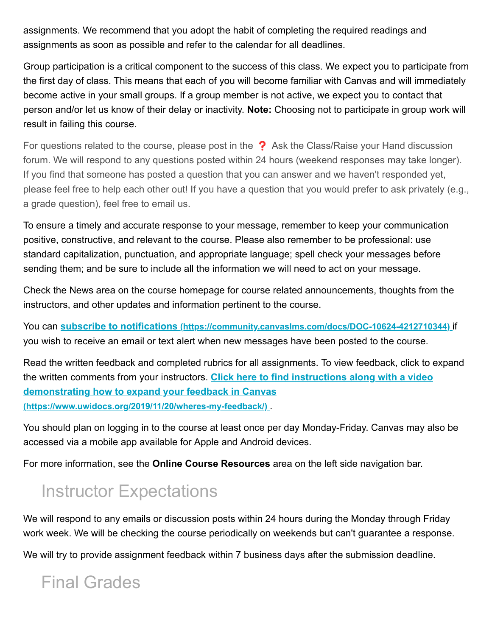assignments. We recommend that you adopt the habit of completing the required readings and assignments as soon as possible and refer to the calendar for all deadlines.

Group participation is a critical component to the success of this class. We expect you to participate from the first day of class. This means that each of you will become familiar with Canvas and will immediately become active in your small groups. If a group member is not active, we expect you to contact that person and/or let us know of their delay or inactivity. **Note:** Choosing not to participate in group work will result in failing this course.

For questions related to the course, please post in the ? Ask the Class/Raise your Hand discussion forum. We will respond to any questions posted within 24 hours (weekend responses may take longer). If you find that someone has posted a question that you can answer and we haven't responded yet, please feel free to help each other out! If you have a question that you would prefer to ask privately (e.g., a grade question), feel free to email us.

To ensure a timely and accurate response to your message, remember to keep your communication positive, constructive, and relevant to the course. Please also remember to be professional: use standard capitalization, punctuation, and appropriate language; spell check your messages before sending them; and be sure to include all the information we will need to act on your message.

Check the News area on the course homepage for course related announcements, thoughts from the instructors, and other updates and information pertinent to the course.

You can **subscribe to notifications [\(https://community.canvaslms.com/docs/DOC-10624-4212710344\)](https://community.canvaslms.com/docs/DOC-10624-4212710344)** if you wish to receive an email or text alert when new messages have been posted to the course.

Read the written feedback and completed rubrics for all assignments. To view feedback, click to expand the written comments from your instructors. **Click here to find instructions along with a video [demonstrating how to expand your feedback in Canvas](https://www.uwidocs.org/2019/11/20/wheres-my-feedback/) (https://www.uwidocs.org/2019/11/20/wheres-my-feedback/)** .

You should plan on logging in to the course at least once per day Monday-Friday. Canvas may also be accessed via a mobile app available for Apple and Android devices.

For more information, see the **Online Course Resources** area on the left side navigation bar.

# Instructor Expectations

We will respond to any emails or discussion posts within 24 hours during the Monday through Friday work week. We will be checking the course periodically on weekends but can't guarantee a response.

We will try to provide assignment feedback within 7 business days after the submission deadline.

# Final Grades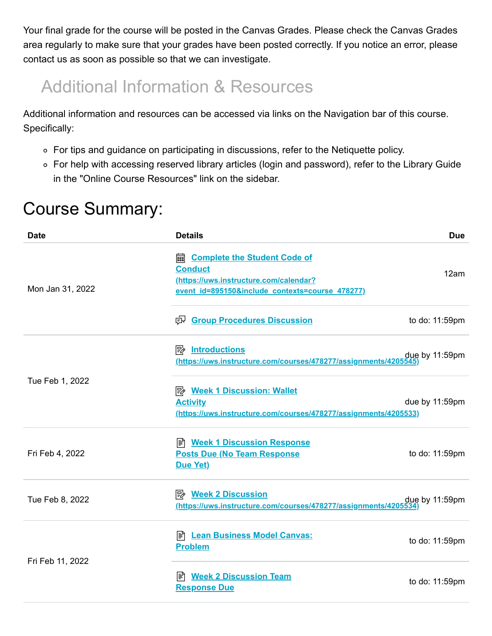Your final grade for the course will be posted in the Canvas Grades. Please check the Canvas Grades area regularly to make sure that your grades have been posted correctly. If you notice an error, please contact us as soon as possible so that we can investigate.

## Additional Information & Resources

Additional information and resources can be accessed via links on the Navigation bar of this course. Specifically:

- For tips and guidance on participating in discussions, refer to the Netiquette policy.
- For help with accessing reserved library articles (login and password), refer to the Library Guide in the "Online Course Resources" link on the sidebar.

### Course Summary:

| <b>Date</b>      | <b>Details</b>                                                                                                                                        | <b>Due</b>          |
|------------------|-------------------------------------------------------------------------------------------------------------------------------------------------------|---------------------|
| Mon Jan 31, 2022 | <b>as Complete the Student Code of</b><br><b>Conduct</b><br>(https://uws.instructure.com/calendar?<br>event id=895150&include contexts=course 478277) | 12am                |
|                  | ed Group Procedures Discussion                                                                                                                        | to do: 11:59pm      |
|                  | <b>A</b> Introductions<br>(https://uws.instructure.com/courses/478277/assignments/4205545)                                                            | due by 11:59pm      |
| Tue Feb 1, 2022  | <b>A</b> Week 1 Discussion: Wallet<br><b>Activity</b><br>(https://uws.instructure.com/courses/478277/assignments/4205533)                             | due by 11:59pm      |
| Fri Feb 4, 2022  | <b>E Week 1 Discussion Response</b><br><b>Posts Due (No Team Response)</b><br>Due Yet)                                                                | to do: 11:59pm      |
| Tue Feb 8, 2022  | <b>A</b> Week 2 Discussion<br>(https://uws.instructure.com/courses/478277/assignments/4205534                                                         | $d\mu$ e by 11:59pm |
| Fri Feb 11, 2022 | E Lean Business Model Canvas:<br><b>Problem</b>                                                                                                       | to do: 11:59pm      |
|                  | ■ Week 2 Discussion Team<br><b>Response Due</b>                                                                                                       | to do: 11:59pm      |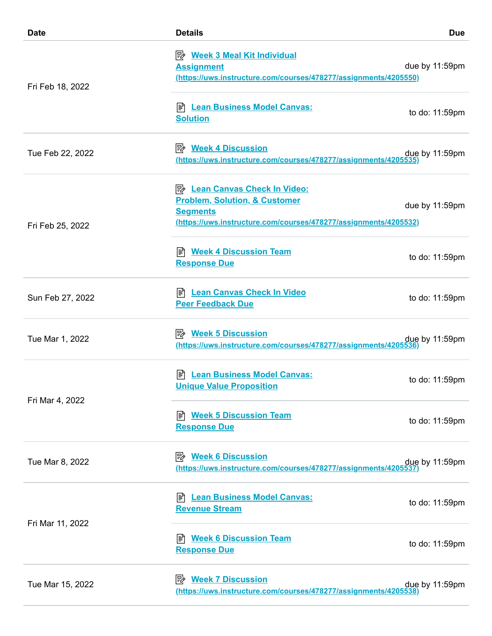| <b>Date</b>      | <b>Details</b>                                                                                                                                                          | <b>Due</b>       |
|------------------|-------------------------------------------------------------------------------------------------------------------------------------------------------------------------|------------------|
| Fri Feb 18, 2022 | <b>B</b> Week 3 Meal Kit Individual<br><b>Assignment</b><br>(https://uws.instructure.com/courses/478277/assignments/4205550)                                            | due by 11:59pm   |
|                  | <b>Lean Business Model Canvas:</b><br>∣≣ੀ<br><b>Solution</b>                                                                                                            | to do: 11:59pm   |
| Tue Feb 22, 2022 | <b>A</b> Week 4 Discussion<br>(https://uws.instructure.com/courses/478277/assignments/4205535                                                                           | $que$ by 11:59pm |
| Fri Feb 25, 2022 | <b>E</b> Lean Canvas Check In Video:<br><b>Problem, Solution, &amp; Customer</b><br><b>Segments</b><br>(https://uws.instructure.com/courses/478277/assignments/4205532) | due by 11:59pm   |
|                  | <b>Week 4 Discussion Team</b><br>I≣ী<br><b>Response Due</b>                                                                                                             | to do: 11:59pm   |
| Sun Feb 27, 2022 | E Lean Canvas Check In Video<br><b>Peer Feedback Due</b>                                                                                                                | to do: 11:59pm   |
| Tue Mar 1, 2022  | <b>A</b> Week 5 Discussion<br>(https://uws.instructure.com/courses/478277/assignments/4205536)                                                                          | due by 11:59pm   |
| Fri Mar 4, 2022  | <b>Lean Business Model Canvas:</b><br>I≣ไ<br><b>Unique Value Proposition</b>                                                                                            | to do: 11:59pm   |
|                  | <mark>ा</mark> Week 5 Discussion Team<br><b>Response Due</b>                                                                                                            | to do: 11:59pm   |
| Tue Mar 8, 2022  | <b>B</b> Week 6 Discussion<br>(https://uws.instructure.com/courses/478277/assignments/4205537                                                                           | due by 11:59pm   |
| Fri Mar 11, 2022 | <b>Lean Business Model Canvas:</b><br>訚<br><b>Revenue Stream</b>                                                                                                        | to do: 11:59pm   |
|                  | <mark>ा</mark> Week 6 Discussion Team<br><b>Response Due</b>                                                                                                            | to do: 11:59pm   |
| Tue Mar 15, 2022 | <b>Week 7 Discussion</b><br>診<br>https://uws.instructure.com/courses/478277/assignments/4205538                                                                         | due by 11:59pm   |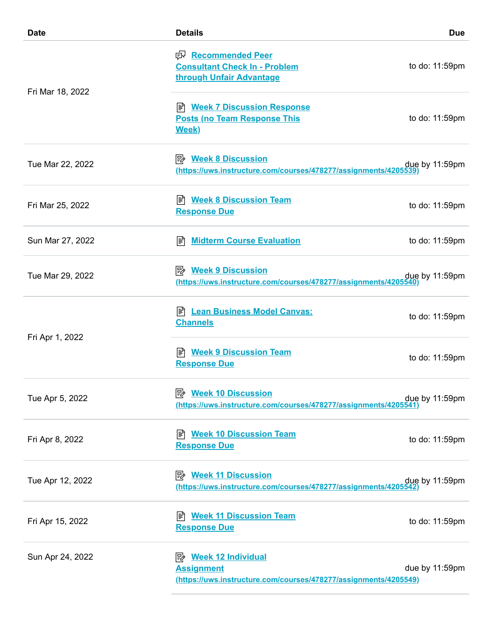| <b>Date</b>      | <b>Details</b>                                                                                                                     | <b>Due</b>          |
|------------------|------------------------------------------------------------------------------------------------------------------------------------|---------------------|
|                  | e Recommended Peer<br><b>Consultant Check In - Problem</b><br>through Unfair Advantage                                             | to do: 11:59pm      |
| Fri Mar 18, 2022 | <b>E</b> Week 7 Discussion Response<br><b>Posts (no Team Response This</b><br><b>Week)</b>                                         | to do: 11:59pm      |
| Tue Mar 22, 2022 | <b>A</b> Week 8 Discussion<br>(https://uws.instructure.com/courses/478277/assignments/4205539                                      | due by 11:59pm      |
| Fri Mar 25, 2022 | <b>Week 8 Discussion Team</b><br>闫<br><b>Response Due</b>                                                                          | to do: 11:59pm      |
| Sun Mar 27, 2022 | <b>Midterm Course Evaluation</b><br>∣≣ੀ                                                                                            | to do: 11:59pm      |
| Tue Mar 29, 2022 | <b>A</b> Week 9 Discussion<br>(https://uws.instructure.com/courses/478277/assignments/4205540)                                     | due by 11:59pm      |
|                  | E Lean Business Model Canvas:<br><b>Channels</b>                                                                                   | to do: 11:59pm      |
| Fri Apr 1, 2022  | <b>Week 9 Discussion Team</b><br><b>Response Due</b>                                                                               | to do: 11:59pm      |
| Tue Apr 5, 2022  | <b>Week 10 Discussion</b><br>⊯∕<br>(https://uws.instructure.com/courses/478277/assignments/4205541                                 | due by 11:59pm      |
| Fri Apr 8, 2022  | <b>Week 10 Discussion Team</b><br>訚<br><b>Response Due</b>                                                                         | to do: 11:59pm      |
| Tue Apr 12, 2022 | (https://uws.instructure.com/courses/478277/assignments/4205542)                                                                   | $d\mu$ e by 11:59pm |
| Fri Apr 15, 2022 | <b>Week 11 Discussion Team</b><br>闫<br><b>Response Due</b>                                                                         | to do: 11:59pm      |
| Sun Apr 24, 2022 | <b><i><u>A</u></i></b> Week 12 Individual<br><b>Assignment</b><br>(https://uws.instructure.com/courses/478277/assignments/4205549) | due by 11:59pm      |